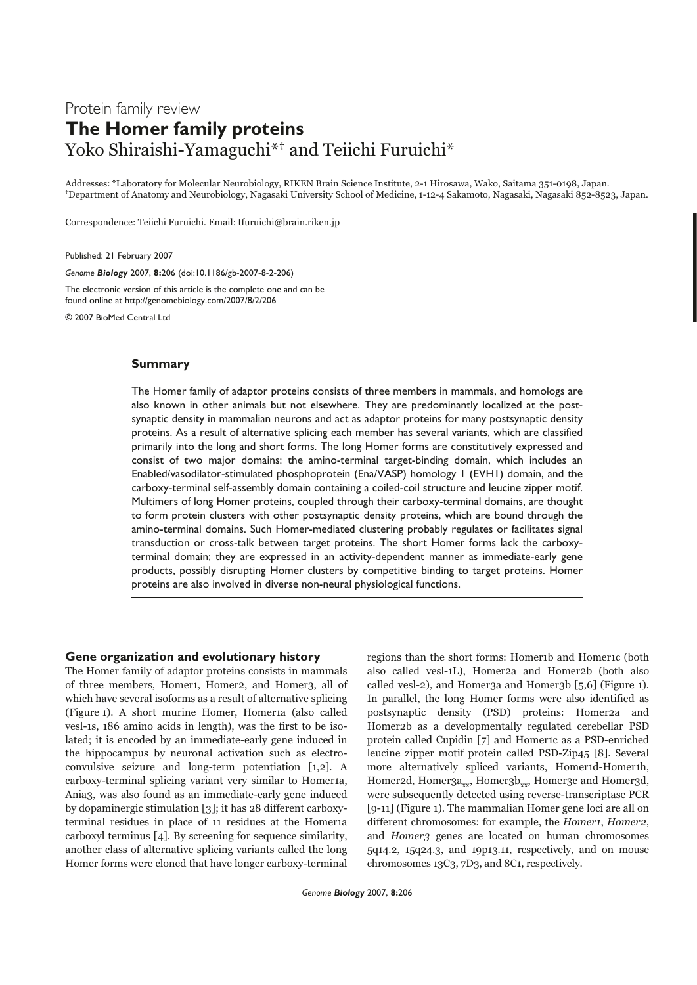# Protein family review **The Homer family proteins** Yoko Shiraishi-Yamaguchi\*<sup>†</sup> and Teiichi Furuichi\*

Addresses: \*Laboratory for Molecular Neurobiology, RIKEN Brain Science Institute, 2-1 Hirosawa, Wako, Saitama 351-0198, Japan. †Department of Anatomy and Neurobiology, Nagasaki University School of Medicine, 1-12-4 Sakamoto, Nagasaki, Nagasaki 852-8523, Japan.

Correspondence: Teiichi Furuichi. Email: tfuruichi@brain.riken.jp

Published: 21 February 2007

*Genome Biology* 2007, **8:**206 (doi:10.1186/gb-2007-8-2-206)

The electronic version of this article is the complete one and can be found online at http://genomebiology.com/2007/8/2/206

© 2007 BioMed Central Ltd

# **Summary**

The Homer family of adaptor proteins consists of three members in mammals, and homologs are also known in other animals but not elsewhere. They are predominantly localized at the postsynaptic density in mammalian neurons and act as adaptor proteins for many postsynaptic density proteins. As a result of alternative splicing each member has several variants, which are classified primarily into the long and short forms. The long Homer forms are constitutively expressed and consist of two major domains: the amino-terminal target-binding domain, which includes an Enabled/vasodilator-stimulated phosphoprotein (Ena/VASP) homology 1 (EVH1) domain, and the carboxy-terminal self-assembly domain containing a coiled-coil structure and leucine zipper motif. Multimers of long Homer proteins, coupled through their carboxy-terminal domains, are thought to form protein clusters with other postsynaptic density proteins, which are bound through the amino-terminal domains. Such Homer-mediated clustering probably regulates or facilitates signal transduction or cross-talk between target proteins. The short Homer forms lack the carboxyterminal domain; they are expressed in an activity-dependent manner as immediate-early gene products, possibly disrupting Homer clusters by competitive binding to target proteins. Homer proteins are also involved in diverse non-neural physiological functions.

## **Gene organization and evolutionary history**

The Homer family of adaptor proteins consists in mammals of three members, Homer1, Homer2, and Homer3, all of which have several isoforms as a result of alternative splicing (Figure 1). A short murine Homer, Homer1a (also called vesl-1s, 186 amino acids in length), was the first to be isolated; it is encoded by an immediate-early gene induced in the hippocampus by neuronal activation such as electroconvulsive seizure and long-term potentiation [1,2]. A carboxy-terminal splicing variant very similar to Homer1a, Ania3, was also found as an immediate-early gene induced by dopaminergic stimulation [3]; it has 28 different carboxyterminal residues in place of 11 residues at the Homer1a carboxyl terminus [4]. By screening for sequence similarity, another class of alternative splicing variants called the long Homer forms were cloned that have longer carboxy-terminal

regions than the short forms: Homer1b and Homer1c (both also called vesl-1L), Homer2a and Homer2b (both also called vesl-2), and Homer3a and Homer3b  $[5,6]$  (Figure 1). In parallel, the long Homer forms were also identified as postsynaptic density (PSD) proteins: Homer2a and Homer2b as a developmentally regulated cerebellar PSD protein called Cupidin [7] and Homer1c as a PSD-enriched leucine zipper motif protein called PSD-Zip45 [8]. Several more alternatively spliced variants, Homer1d-Homer1h, Homer2d, Homer $3a_{xx}$ , Homer $3b_{xx}$ , Homer3c and Homer3d, were subsequently detected using reverse-transcriptase PCR [9-11] (Figure 1). The mammalian Homer gene loci are all on different chromosomes: for example, the Homer1, Homer2, and Homer3 genes are located on human chromosomes 5q14.2, 15q24.3, and 19p13.11, respectively, and on mouse chromosomes 13C3, 7D3, and 8C1, respectively.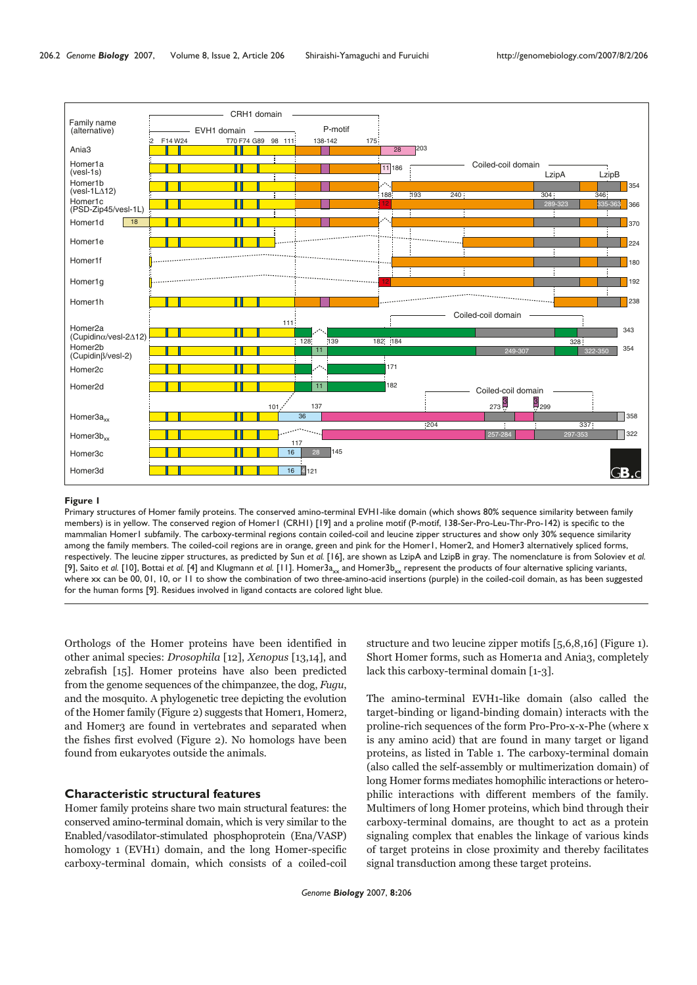

Primary structures of Homer family proteins. The conserved amino-terminal EVH1-like domain (which shows 80% sequence similarity between family members) is in yellow. The conserved region of Homer1 (CRH1) [19] and a proline motif (P-motif, 138-Ser-Pro-Leu-Thr-Pro-142) is specific to the mammalian Homer1 subfamily. The carboxy-terminal regions contain coiled-coil and leucine zipper structures and show only 30% sequence similarity among the family members. The coiled-coil regions are in orange, green and pink for the Homer1, Homer2, and Homer3 alternatively spliced forms, respectively. The leucine zipper structures, as predicted by Sun *et al.* [16], are shown as LzipA and LzipB in gray. The nomenclature is from Soloviev *et al.* [9], Saito *et al.* [10], Bottai *et al.* [4] and Klugmann *et al.* [11]. Homer3<sub>axx</sub> and Homer3b<sub>xx</sub> represent the products of four alternative splicing variants, where xx can be 00, 01, 10, or 11 to show the combination of two three-amino-acid insertions (purple) in the coiled-coil domain, as has been suggested for the human forms [9]. Residues involved in ligand contacts are colored light blue.

Orthologs of the Homer proteins have been identified in other animal species: Drosophila [12], Xenopus [13,14], and zebrafish [15]. Homer proteins have also been predicted from the genome sequences of the chimpanzee, the dog, Fugu, and the mosquito. A phylogenetic tree depicting the evolution of the Homer family (Figure 2) suggests that Homer1, Homer2, and Homer3 are found in vertebrates and separated when the fishes first evolved (Figure 2). No homologs have been found from eukaryotes outside the animals.

# **Characteristic structural features**

Homer family proteins share two main structural features: the conserved amino-terminal domain, which is very similar to the Enabled/vasodilator-stimulated phosphoprotein (Ena/VASP) homology 1 (EVH1) domain, and the long Homer-specific carboxy-terminal domain, which consists of a coiled-coil

structure and two leucine zipper motifs [5,6,8,16] (Figure 1). Short Homer forms, such as Homer1a and Ania3, completely lack this carboxy-terminal domain [1-3].

The amino-terminal EVH1-like domain (also called the target-binding or ligand-binding domain) interacts with the proline-rich sequences of the form Pro-Pro-x-x-Phe (where x is any amino acid) that are found in many target or ligand proteins, as listed in Table 1. The carboxy-terminal domain (also called the self-assembly or multimerization domain) of long Homer forms mediates homophilic interactions or heterophilic interactions with different members of the family. Multimers of long Homer proteins, which bind through their carboxy-terminal domains, are thought to act as a protein signaling complex that enables the linkage of various kinds of target proteins in close proximity and thereby facilitates signal transduction among these target proteins.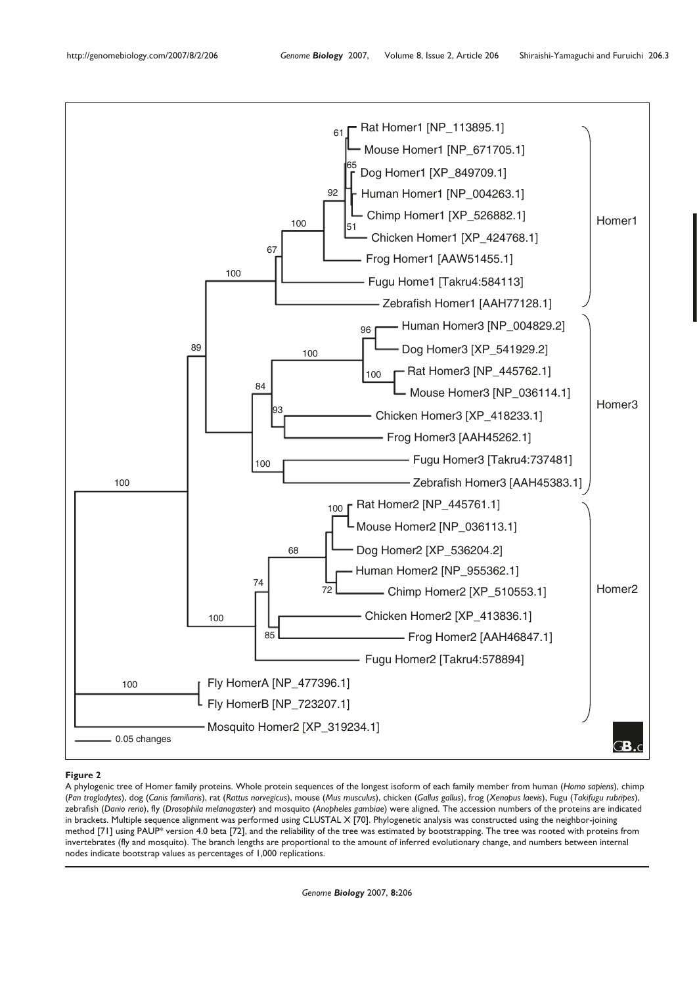

A phylogenic tree of Homer family proteins. Whole protein sequences of the longest isoform of each family member from human (*Homo sapiens*), chimp (*Pan troglodytes*), dog (*Canis familiaris*), rat (*Rattus norvegicus*), mouse (*Mus musculus*), chicken (*Gallus gallus*), frog (*Xenopus laevis*), Fugu (*Takifugu rubripes*), zebrafish (*Danio rerio*), fly (*Drosophila melanogaster*) and mosquito (*Anopheles gambiae*) were aligned. The accession numbers of the proteins are indicated in brackets. Multiple sequence alignment was performed using CLUSTAL X [70]. Phylogenetic analysis was constructed using the neighbor-joining method [71] using PAUP\* version 4.0 beta [72], and the reliability of the tree was estimated by bootstrapping. The tree was rooted with proteins from invertebrates (fly and mosquito). The branch lengths are proportional to the amount of inferred evolutionary change, and numbers between internal nodes indicate bootstrap values as percentages of 1,000 replications.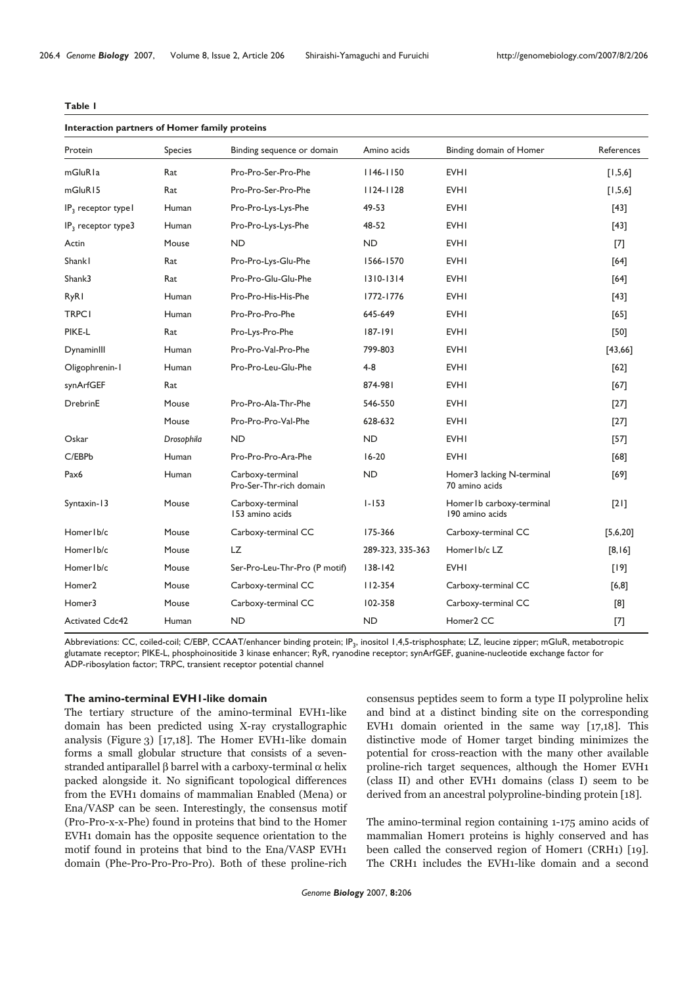#### **Table 1**

| Interaction partners of Homer family proteins |            |                                             |                  |                                               |            |  |  |
|-----------------------------------------------|------------|---------------------------------------------|------------------|-----------------------------------------------|------------|--|--|
| Protein<br>Species                            |            | Binding sequence or domain                  | Amino acids      | Binding domain of Homer                       | References |  |  |
| mGluRla                                       | Rat        | Pro-Pro-Ser-Pro-Phe                         | $1146 - 1150$    | <b>EVHI</b>                                   | [1,5,6]    |  |  |
| mGluR15                                       | Rat        | Pro-Pro-Ser-Pro-Phe                         | $1124 - 1128$    | <b>EVHI</b>                                   | [1,5,6]    |  |  |
| IP <sub>3</sub> receptor type l               | Human      | Pro-Pro-Lys-Lys-Phe                         | 49-53            | <b>EVHI</b>                                   | [43]       |  |  |
| IP <sub>3</sub> receptor type3                | Human      | Pro-Pro-Lys-Lys-Phe                         | 48-52            | <b>EVHI</b>                                   | $[43]$     |  |  |
| Actin                                         | Mouse      | <b>ND</b>                                   | <b>ND</b>        | <b>EVHI</b>                                   | [7]        |  |  |
| Shankl                                        | Rat        | Pro-Pro-Lys-Glu-Phe                         | 1566-1570        | <b>EVHI</b>                                   | [64]       |  |  |
| Shank3                                        | Rat        | Pro-Pro-Glu-Glu-Phe                         | $1310 - 1314$    | <b>EVHI</b>                                   | [64]       |  |  |
| <b>RyR1</b>                                   | Human      | Pro-Pro-His-His-Phe                         | 1772-1776        | <b>EVHI</b>                                   | $[43]$     |  |  |
| <b>TRPC1</b>                                  | Human      | Pro-Pro-Pro-Phe                             | 645-649          | <b>EVHI</b>                                   | $[65]$     |  |  |
| PIKE-L                                        | Rat        | Pro-Lys-Pro-Phe                             | $187 - 191$      | <b>EVHI</b>                                   | $[50]$     |  |  |
| DynaminIII                                    | Human      | Pro-Pro-Val-Pro-Phe                         | 799-803          | <b>EVHI</b>                                   | [43,66]    |  |  |
| Oligophrenin-I                                | Human      | Pro-Pro-Leu-Glu-Phe                         | $4 - 8$          | <b>EVHI</b>                                   | [62]       |  |  |
| synArfGEF                                     | Rat        |                                             | 874-981          | <b>EVHI</b>                                   | [67]       |  |  |
| DrebrinE                                      | Mouse      | Pro-Pro-Ala-Thr-Phe                         | 546-550          | <b>EVHI</b>                                   | $[27]$     |  |  |
|                                               | Mouse      | Pro-Pro-Pro-Val-Phe                         | 628-632          | <b>EVHI</b>                                   | $[27]$     |  |  |
| Oskar                                         | Drosophila | <b>ND</b>                                   | <b>ND</b>        | <b>EVHI</b>                                   | $[57]$     |  |  |
| C/EBPb                                        | Human      | Pro-Pro-Pro-Ara-Phe                         | $16 - 20$        | <b>EVHI</b>                                   | $[68]$     |  |  |
| Pax <sub>6</sub>                              | Human      | Carboxy-terminal<br>Pro-Ser-Thr-rich domain | <b>ND</b>        | Homer3 lacking N-terminal<br>70 amino acids   | [69]       |  |  |
| Syntaxin-13                                   | Mouse      | Carboxy-terminal<br>153 amino acids         | $1 - 153$        | Homer I b carboxy-terminal<br>190 amino acids | [2]        |  |  |
| Homer Ib/c                                    | Mouse      | Carboxy-terminal CC                         | 175-366          | Carboxy-terminal CC                           | [5,6,20]   |  |  |
| Homer Ib/c                                    | Mouse      | LZ.                                         | 289-323, 335-363 | Homer Ib/c LZ                                 | $[8,16]$   |  |  |
| Homer Ib/c                                    | Mouse      | Ser-Pro-Leu-Thr-Pro (P motif)               | $138 - 142$      | <b>EVHI</b>                                   | [19]       |  |  |
| Homer <sub>2</sub>                            | Mouse      | Carboxy-terminal CC                         | $112 - 354$      | Carboxy-terminal CC                           | $[6,8]$    |  |  |
| Homer3                                        | Mouse      | Carboxy-terminal CC                         | 102-358          | Carboxy-terminal CC                           | [8]        |  |  |
| <b>Activated Cdc42</b>                        | Human      | <b>ND</b>                                   | <b>ND</b>        | Homer2 CC                                     | $[7]$      |  |  |

Abbreviations: CC, coiled-coil; C/EBP, CCAAT/enhancer binding protein; IP<sub>3</sub>, inositol 1,4,5-trisphosphate; LZ, leucine zipper; mGluR, metabotropic glutamate receptor; PIKE-L, phosphoinositide 3 kinase enhancer; RyR, ryanodine receptor; synArfGEF, guanine-nucleotide exchange factor for ADP-ribosylation factor; TRPC, transient receptor potential channel

## **The amino-terminal EVH1-like domain**

The tertiary structure of the amino-terminal EVH1-like domain has been predicted using X-ray crystallographic analysis (Figure 3) [17,18]. The Homer EVH1-like domain forms a small globular structure that consists of a sevenstranded antiparallel  $\beta$  barrel with a carboxy-terminal  $\alpha$  helix packed alongside it. No significant topological differences from the EVH1 domains of mammalian Enabled (Mena) or Ena/VASP can be seen. Interestingly, the consensus motif (Pro-Pro-x-x-Phe) found in proteins that bind to the Homer EVH1 domain has the opposite sequence orientation to the motif found in proteins that bind to the Ena/VASP EVH1 domain (Phe-Pro-Pro-Pro-Pro). Both of these proline-rich

consensus peptides seem to form a type II polyproline helix and bind at a distinct binding site on the corresponding EVH1 domain oriented in the same way [17,18]. This distinctive mode of Homer target binding minimizes the potential for cross-reaction with the many other available proline-rich target sequences, although the Homer EVH1 (class II) and other EVH1 domains (class I) seem to be derived from an ancestral polyproline-binding protein [18].

The amino-terminal region containing 1-175 amino acids of mammalian Homer1 proteins is highly conserved and has been called the conserved region of Homer1 (CRH1) [19]. The CRH1 includes the EVH1-like domain and a second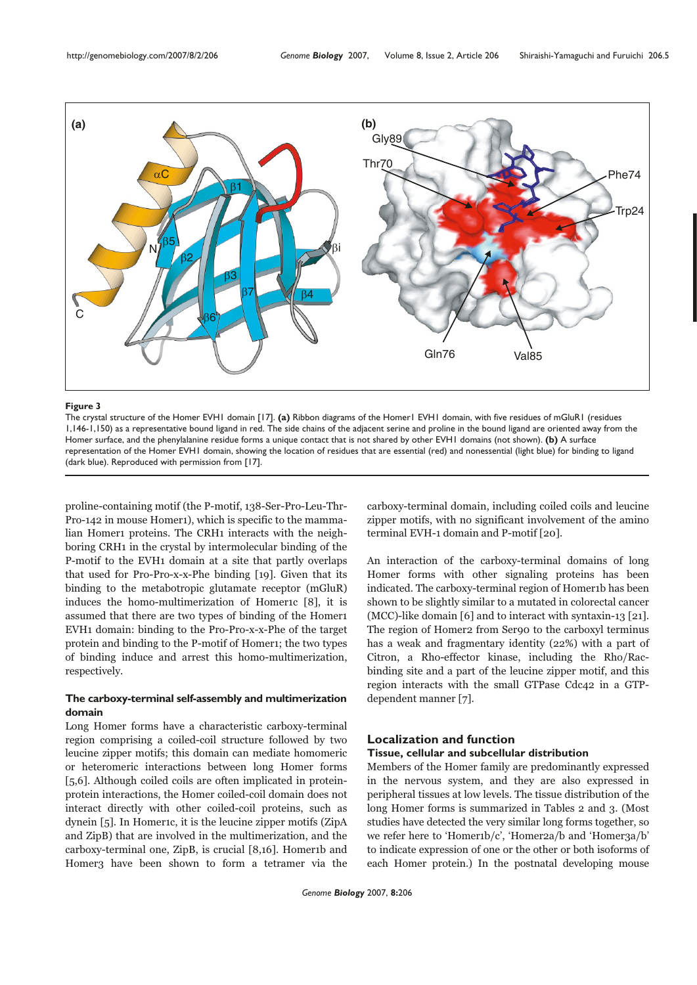

The crystal structure of the Homer EVH1 domain [17]. **(a)** Ribbon diagrams of the Homer1 EVH1 domain, with five residues of mGluR1 (residues 1,146-1,150) as a representative bound ligand in red. The side chains of the adjacent serine and proline in the bound ligand are oriented away from the Homer surface, and the phenylalanine residue forms a unique contact that is not shared by other EVH1 domains (not shown). **(b)** A surface representation of the Homer EVH1 domain, showing the location of residues that are essential (red) and nonessential (light blue) for binding to ligand (dark blue). Reproduced with permission from [17].

proline-containing motif (the P-motif, 138-Ser-Pro-Leu-Thr-Pro-142 in mouse Homer1), which is specific to the mammalian Homer1 proteins. The CRH1 interacts with the neighboring CRH1 in the crystal by intermolecular binding of the P-motif to the EVH1 domain at a site that partly overlaps that used for Pro-Pro-x-x-Phe binding [19]. Given that its binding to the metabotropic glutamate receptor (mGluR) induces the homo-multimerization of Homer1c [8], it is assumed that there are two types of binding of the Homer1 EVH1 domain: binding to the Pro-Pro-x-x-Phe of the target protein and binding to the P-motif of Homer1; the two types of binding induce and arrest this homo-multimerization, respectively.

# **The carboxy-terminal self-assembly and multimerization domain**

Long Homer forms have a characteristic carboxy-terminal region comprising a coiled-coil structure followed by two leucine zipper motifs; this domain can mediate homomeric or heteromeric interactions between long Homer forms [5,6]. Although coiled coils are often implicated in proteinprotein interactions, the Homer coiled-coil domain does not interact directly with other coiled-coil proteins, such as dynein [5]. In Homer1c, it is the leucine zipper motifs (ZipA and ZipB) that are involved in the multimerization, and the carboxy-terminal one, ZipB, is crucial [8,16]. Homer1b and Homer3 have been shown to form a tetramer via the carboxy-terminal domain, including coiled coils and leucine zipper motifs, with no significant involvement of the amino terminal EVH-1 domain and P-motif [20].

An interaction of the carboxy-terminal domains of long Homer forms with other signaling proteins has been indicated. The carboxy-terminal region of Homer1b has been shown to be slightly similar to a mutated in colorectal cancer (MCC)-like domain [6] and to interact with syntaxin-13 [21]. The region of Homer2 from Ser90 to the carboxyl terminus has a weak and fragmentary identity (22%) with a part of Citron, a Rho-effector kinase, including the Rho/Racbinding site and a part of the leucine zipper motif, and this region interacts with the small GTPase Cdc42 in a GTPdependent manner [7].

# **Localization and function**

# **Tissue, cellular and subcellular distribution**

Members of the Homer family are predominantly expressed in the nervous system, and they are also expressed in peripheral tissues at low levels. The tissue distribution of the long Homer forms is summarized in Tables 2 and 3. (Most studies have detected the very similar long forms together, so we refer here to 'Homer1b/c', 'Homer2a/b and 'Homer3a/b' to indicate expression of one or the other or both isoforms of each Homer protein.) In the postnatal developing mouse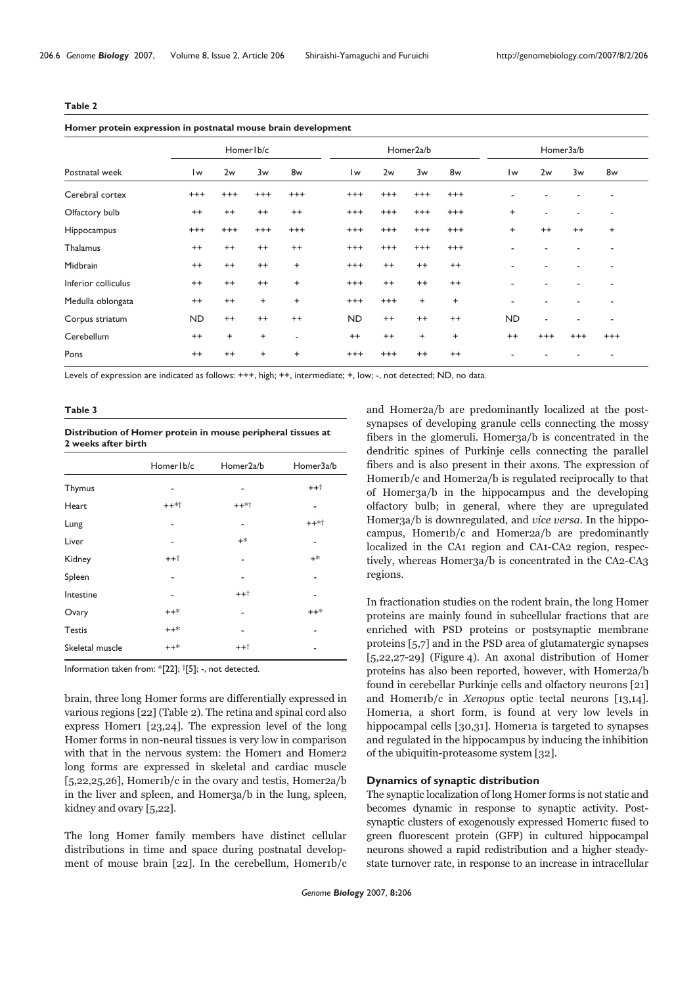|--|--|

#### **Homer protein expression in postnatal mouse brain development**

| ----------- <b>-</b> - |           |           |                        |           |          |           |           |                        |          |                |           |  |
|------------------------|-----------|-----------|------------------------|-----------|----------|-----------|-----------|------------------------|----------|----------------|-----------|--|
| Homer Ib/c             |           |           | Homer <sub>2a</sub> /b |           |          |           | Homer3a/b |                        |          |                |           |  |
| $\mathsf{I}\mathsf{w}$ | 2w        | 3w        | 8w                     | Iw        | 2w       | 3w        | 8w        | $\mathsf{I}\mathsf{w}$ | 2w       | 3w             | 8w        |  |
| $^{+++}$               | $^{+++}$  | $^{+++}$  | $^{+++}$               | $^{+++}$  | $^{+++}$ | $^{+++}$  | $^{+++}$  | ٠                      |          |                | ٠         |  |
| $^{++}$                | $^{++}$   | $^{++}$   | $^{++}$                | $^{+++}$  | $^{+++}$ | $^{+++}$  | $^{+++}$  | $\ddot{}$              | ٠        | $\blacksquare$ | ٠         |  |
| $^{+++}$               | $^{+++}$  | $^{+++}$  | $^{+++}$               | $^{+++}$  | $^{+++}$ | $+++$     | $^{+++}$  | $\ddot{}$              | $^{++}$  | $^{++}$        | $\ddot{}$ |  |
| $^{++}$                | $^{++}$   | $^{++}$   | $^{++}$                | $^{+++}$  | $^{+++}$ | $^{+++}$  | $^{+++}$  |                        |          |                |           |  |
| $^{++}$                | $^{++}$   | $^{++}$   | $^{+}$                 | $^{+++}$  | $^{++}$  | $^{++}$   | $^{++}$   | ٠                      | ۰        | $\blacksquare$ | ۰         |  |
| $^{++}$                | $^{++}$   | $^{++}$   | $+$                    | $^{+++}$  | $^{++}$  | $^{++}$   | $^{++}$   | ٠                      |          |                |           |  |
| $^{++}$                | $^{++}$   | $\ddot{}$ | $\ddot{}$              | $^{+++}$  | $^{+++}$ | $\ddot{}$ | $\ddot{}$ | ٠                      |          |                |           |  |
| <b>ND</b>              | $^{++}$   | $^{++}$   | $^{++}$                | <b>ND</b> | $^{++}$  | $^{++}$   | $^{++}$   | <b>ND</b>              | ۰        | $\blacksquare$ | ٠         |  |
| $^{++}$                | $\ddot{}$ | $\ddot{}$ | ٠                      | $^{++}$   | $^{++}$  | $\ddot{}$ | $\ddot{}$ | $^{++}$                | $^{+++}$ | $^{+++}$       | $^{+++}$  |  |
| $^{++}$                | $^{++}$   | $\ddot{}$ | $\ddot{}$              | $^{+++}$  | $^{+++}$ | $^{++}$   | $^{++}$   | ٠                      |          |                |           |  |
|                        |           |           |                        |           |          |           |           |                        |          |                |           |  |

Levels of expression are indicated as follows: +++, high; ++, intermediate; +, low; -, not detected; ND, no data.

#### **Table 3**

#### **Distribution of Homer protein in mouse peripheral tissues at 2 weeks after birth**

|                 | Homer Ib/c | Homer <sub>2a</sub> /b | Homer3a/b |
|-----------------|------------|------------------------|-----------|
| Thymus          | ۰          |                        | $++1$     |
| Heart           | $++**$     | $++**$ †               |           |
| Lung            |            |                        | $++*$ †   |
| Liver           | ٠          | $+$ *                  | ٠         |
| Kidney          | $++1$      |                        | $+$ *     |
| Spleen          | ٠          | ٠                      | ٠         |
| Intestine       | ٠          | $++$ <sup>†</sup>      | ۰         |
| Ovary           | $++*$      |                        | $++*$     |
| <b>Testis</b>   | $++*$      | ٠                      | ٠         |
| Skeletal muscle | $++*$      | $++$ †                 |           |

Information taken from: \*[22]; †[5]; -, not detected.

brain, three long Homer forms are differentially expressed in various regions [22] (Table 2). The retina and spinal cord also express Homer1 [23,24]. The expression level of the long Homer forms in non-neural tissues is very low in comparison with that in the nervous system: the Homer1 and Homer2 long forms are expressed in skeletal and cardiac muscle  $[5,22,25,26]$ , Homertb/c in the ovary and testis, Homer $2a/b$ in the liver and spleen, and Homer3a/b in the lung, spleen, kidney and ovary [5,22].

The long Homer family members have distinct cellular distributions in time and space during postnatal development of mouse brain [22]. In the cerebellum, Homer1b/c and Homer2a/b are predominantly localized at the postsynapses of developing granule cells connecting the mossy fibers in the glomeruli. Homer3a/b is concentrated in the dendritic spines of Purkinje cells connecting the parallel fibers and is also present in their axons. The expression of Homer1b/c and Homer2a/b is regulated reciprocally to that of Homer3a/b in the hippocampus and the developing olfactory bulb; in general, where they are upregulated Homer3a/b is downregulated, and vice versa. In the hippocampus, Homer1b/c and Homer2a/b are predominantly localized in the CA1 region and CA1-CA2 region, respectively, whereas Homer3a/b is concentrated in the CA2-CA3 regions.

In fractionation studies on the rodent brain, the long Homer proteins are mainly found in subcellular fractions that are enriched with PSD proteins or postsynaptic membrane proteins [5,7] and in the PSD area of glutamatergic synapses [5,22,27-29] (Figure 4). An axonal distribution of Homer proteins has also been reported, however, with Homer2a/b found in cerebellar Purkinje cells and olfactory neurons [21] and Homer1b/c in Xenopus optic tectal neurons [13,14]. Homer1a, a short form, is found at very low levels in hippocampal cells [30,31]. Homerta is targeted to synapses and regulated in the hippocampus by inducing the inhibition of the ubiquitin-proteasome system [32].

# **Dynamics of synaptic distribution**

The synaptic localization of long Homer forms is not static and becomes dynamic in response to synaptic activity. Postsynaptic clusters of exogenously expressed Homer1c fused to green fluorescent protein (GFP) in cultured hippocampal neurons showed a rapid redistribution and a higher steadystate turnover rate, in response to an increase in intracellular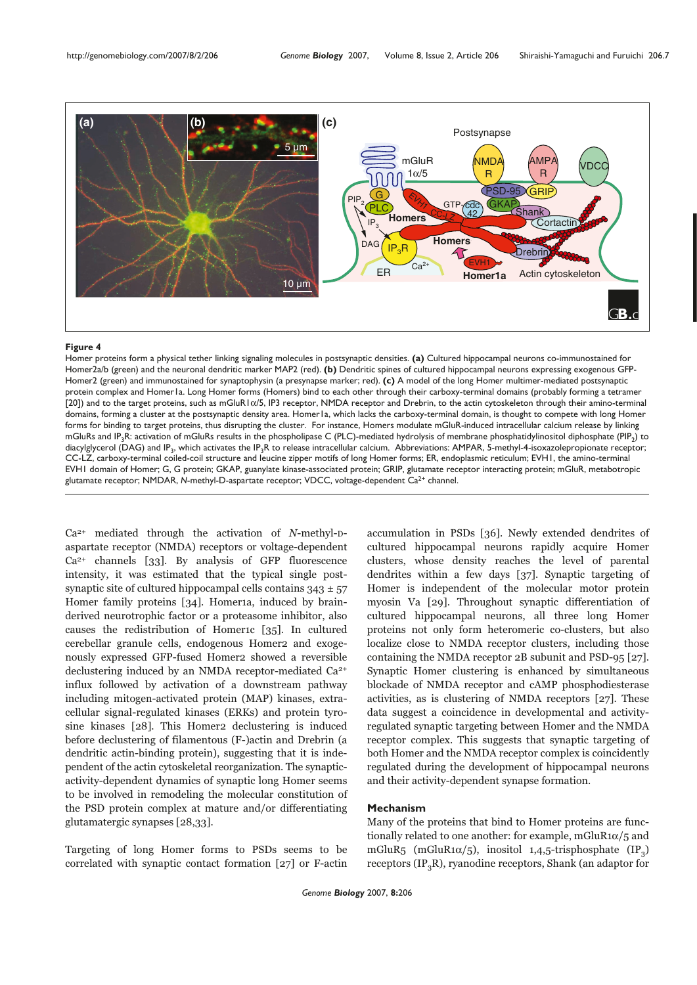

Homer proteins form a physical tether linking signaling molecules in postsynaptic densities. **(a)** Cultured hippocampal neurons co-immunostained for Homer2a/b (green) and the neuronal dendritic marker MAP2 (red). **(b)** Dendritic spines of cultured hippocampal neurons expressing exogenous GFP-Homer2 (green) and immunostained for synaptophysin (a presynapse marker; red). **(c)** A model of the long Homer multimer-mediated postsynaptic protein complex and Homer1a. Long Homer forms (Homers) bind to each other through their carboxy-terminal domains (probably forming a tetramer [20]) and to the target proteins, such as mGluR1α/5, IP3 receptor, NMDA receptor and Drebrin, to the actin cytoskeleton through their amino-terminal domains, forming a cluster at the postsynaptic density area. Homer1a, which lacks the carboxy-terminal domain, is thought to compete with long Homer forms for binding to target proteins, thus disrupting the cluster. For instance, Homers modulate mGluR-induced intracellular calcium release by linking mGluRs and IP<sub>3</sub>R: activation of mGluRs results in the phospholipase C (PLC)-mediated hydrolysis of membrane phosphatidylinositol diphosphate (PIP<sub>2</sub>) to diacylglycerol (DAG) and IP<sub>3</sub>, which activates the IP<sub>3</sub>R to release intracellular calcium. Abbreviations: AMPAR, 5-methyl-4-isoxazolepropionate receptor; CC-LZ, carboxy-terminal coiled-coil structure and leucine zipper motifs of long Homer forms; ER, endoplasmic reticulum; EVH1, the amino-terminal EVH1 domain of Homer; G, G protein; GKAP, guanylate kinase-associated protein; GRIP, glutamate receptor interacting protein; mGluR, metabotropic glutamate receptor; NMDAR, *N*-methyl-D-aspartate receptor; VDCC, voltage-dependent Ca2+ channel.

 $Ca<sup>2+</sup>$  mediated through the activation of N-methyl-Daspartate receptor (NMDA) receptors or voltage-dependent  $Ca<sup>2+</sup>$  channels [33]. By analysis of GFP fluorescence intensity, it was estimated that the typical single postsynaptic site of cultured hippocampal cells contains  $343 \pm 57$ Homer family proteins [34]. Homeria, induced by brainderived neurotrophic factor or a proteasome inhibitor, also causes the redistribution of Homer1c [35]. In cultured cerebellar granule cells, endogenous Homer2 and exogenously expressed GFP-fused Homer2 showed a reversible declustering induced by an NMDA receptor-mediated Ca2+ influx followed by activation of a downstream pathway including mitogen-activated protein (MAP) kinases, extracellular signal-regulated kinases (ERKs) and protein tyrosine kinases [28]. This Homer2 declustering is induced before declustering of filamentous (F-)actin and Drebrin (a dendritic actin-binding protein), suggesting that it is independent of the actin cytoskeletal reorganization. The synapticactivity-dependent dynamics of synaptic long Homer seems to be involved in remodeling the molecular constitution of the PSD protein complex at mature and/or differentiating glutamatergic synapses [28,33].

Targeting of long Homer forms to PSDs seems to be correlated with synaptic contact formation [27] or F-actin

accumulation in PSDs [36]. Newly extended dendrites of cultured hippocampal neurons rapidly acquire Homer clusters, whose density reaches the level of parental dendrites within a few days [37]. Synaptic targeting of Homer is independent of the molecular motor protein myosin Va [29]. Throughout synaptic differentiation of cultured hippocampal neurons, all three long Homer proteins not only form heteromeric co-clusters, but also localize close to NMDA receptor clusters, including those containing the NMDA receptor 2B subunit and PSD-95 [27]. Synaptic Homer clustering is enhanced by simultaneous blockade of NMDA receptor and cAMP phosphodiesterase activities, as is clustering of NMDA receptors [27]. These data suggest a coincidence in developmental and activityregulated synaptic targeting between Homer and the NMDA receptor complex. This suggests that synaptic targeting of both Homer and the NMDA receptor complex is coincidently regulated during the development of hippocampal neurons and their activity-dependent synapse formation.

#### **Mechanism**

Many of the proteins that bind to Homer proteins are functionally related to one another: for example, mGluR1 $\alpha$ /5 and mGluR5 (mGluR1 $\alpha$ /5), inositol 1,4,5-trisphosphate (IP<sub>2</sub>) receptors  $(\text{IP}_2\text{R})$ , ryanodine receptors, Shank (an adaptor for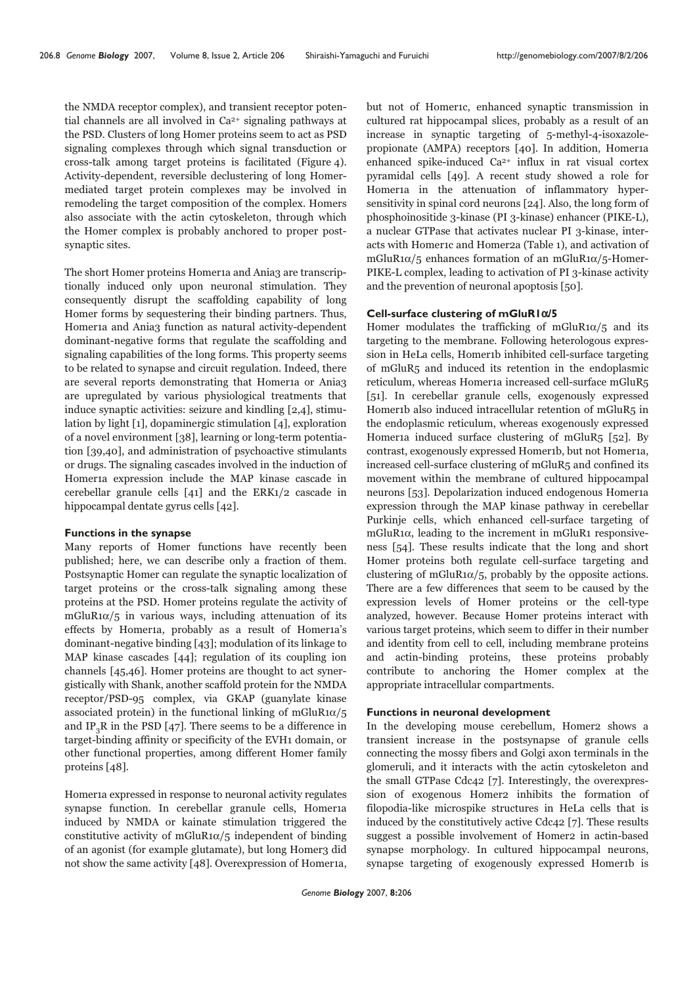the NMDA receptor complex), and transient receptor potential channels are all involved in Ca<sup>2+</sup> signaling pathways at the PSD. Clusters of long Homer proteins seem to act as PSD signaling complexes through which signal transduction or cross-talk among target proteins is facilitated (Figure 4). Activity-dependent, reversible declustering of long Homermediated target protein complexes may be involved in remodeling the target composition of the complex. Homers also associate with the actin cytoskeleton, through which the Homer complex is probably anchored to proper postsynaptic sites.

The short Homer proteins Homer<sub>1a</sub> and Ania<sub>3</sub> are transcriptionally induced only upon neuronal stimulation. They consequently disrupt the scaffolding capability of long Homer forms by sequestering their binding partners. Thus, Homer1a and Ania3 function as natural activity-dependent dominant-negative forms that regulate the scaffolding and signaling capabilities of the long forms. This property seems to be related to synapse and circuit regulation. Indeed, there are several reports demonstrating that Homer1a or Ania3 are upregulated by various physiological treatments that induce synaptic activities: seizure and kindling [2,4], stimulation by light [1], dopaminergic stimulation [4], exploration of a novel environment [38], learning or long-term potentiation [39,40], and administration of psychoactive stimulants or drugs. The signaling cascades involved in the induction of Homer1a expression include the MAP kinase cascade in cerebellar granule cells [41] and the ERK1/2 cascade in hippocampal dentate gyrus cells [42].

#### **Functions in the synapse**

Many reports of Homer functions have recently been published; here, we can describe only a fraction of them. Postsynaptic Homer can regulate the synaptic localization of target proteins or the cross-talk signaling among these proteins at the PSD. Homer proteins regulate the activity of mGluR1 $\alpha/5$  in various ways, including attenuation of its effects by Homer1a, probably as a result of Homer1a's dominant-negative binding [43]; modulation of its linkage to MAP kinase cascades [44]; regulation of its coupling ion channels [45,46]. Homer proteins are thought to act synergistically with Shank, another scaffold protein for the NMDA receptor/PSD-95 complex, via GKAP (guanylate kinase associated protein) in the functional linking of mGluR1 $\alpha/5$ and IP<sub>3</sub>R in the PSD  $[47]$ . There seems to be a difference in target-binding affinity or specificity of the EVH1 domain, or other functional properties, among different Homer family proteins [48].

Homer1a expressed in response to neuronal activity regulates synapse function. In cerebellar granule cells, Homer1a induced by NMDA or kainate stimulation triggered the constitutive activity of mGluR1 $\alpha/5$  independent of binding of an agonist (for example glutamate), but long Homer3 did not show the same activity [48]. Overexpression of Homer1a,

but not of Homer1c, enhanced synaptic transmission in cultured rat hippocampal slices, probably as a result of an increase in synaptic targeting of 5-methyl-4-isoxazolepropionate (AMPA) receptors [40]. In addition, Homer1a enhanced spike-induced Ca2+ influx in rat visual cortex pyramidal cells [49]. A recent study showed a role for Homer1a in the attenuation of inflammatory hypersensitivity in spinal cord neurons [24]. Also, the long form of phosphoinositide 3-kinase (PI 3-kinase) enhancer (PIKE-L), a nuclear GTPase that activates nuclear PI 3-kinase, interacts with Homer1c and Homer2a (Table 1), and activation of mGluR1 $\alpha$ /5 enhances formation of an mGluR1 $\alpha$ /5-Homer-PIKE-L complex, leading to activation of PI 3-kinase activity and the prevention of neuronal apoptosis [50].

#### **Cell-surface clustering of mGluR1**α**/5**

Homer modulates the trafficking of mGluR1 $\alpha/5$  and its targeting to the membrane. Following heterologous expression in HeLa cells, Homer1b inhibited cell-surface targeting of mGluR5 and induced its retention in the endoplasmic reticulum, whereas Homer1a increased cell-surface mGluR5 [51]. In cerebellar granule cells, exogenously expressed Homer1b also induced intracellular retention of mGluR5 in the endoplasmic reticulum, whereas exogenously expressed Homer1a induced surface clustering of mGluR5 [52]. By contrast, exogenously expressed Homer1b, but not Homer1a, increased cell-surface clustering of mGluR5 and confined its movement within the membrane of cultured hippocampal neurons [53]. Depolarization induced endogenous Homer1a expression through the MAP kinase pathway in cerebellar Purkinje cells, which enhanced cell-surface targeting of mGluR1α, leading to the increment in mGluR1 responsiveness [54]. These results indicate that the long and short Homer proteins both regulate cell-surface targeting and clustering of mGluR<sub>1 $\alpha$ </sub>/<sub>5</sub>, probably by the opposite actions. There are a few differences that seem to be caused by the expression levels of Homer proteins or the cell-type analyzed, however. Because Homer proteins interact with various target proteins, which seem to differ in their number and identity from cell to cell, including membrane proteins and actin-binding proteins, these proteins probably contribute to anchoring the Homer complex at the appropriate intracellular compartments.

# **Functions in neuronal development**

In the developing mouse cerebellum, Homer2 shows a transient increase in the postsynapse of granule cells connecting the mossy fibers and Golgi axon terminals in the glomeruli, and it interacts with the actin cytoskeleton and the small GTPase Cdc42 [7]. Interestingly, the overexpression of exogenous Homer2 inhibits the formation of filopodia-like microspike structures in HeLa cells that is induced by the constitutively active Cdc42 [7]. These results suggest a possible involvement of Homer2 in actin-based synapse morphology. In cultured hippocampal neurons, synapse targeting of exogenously expressed Homer1b is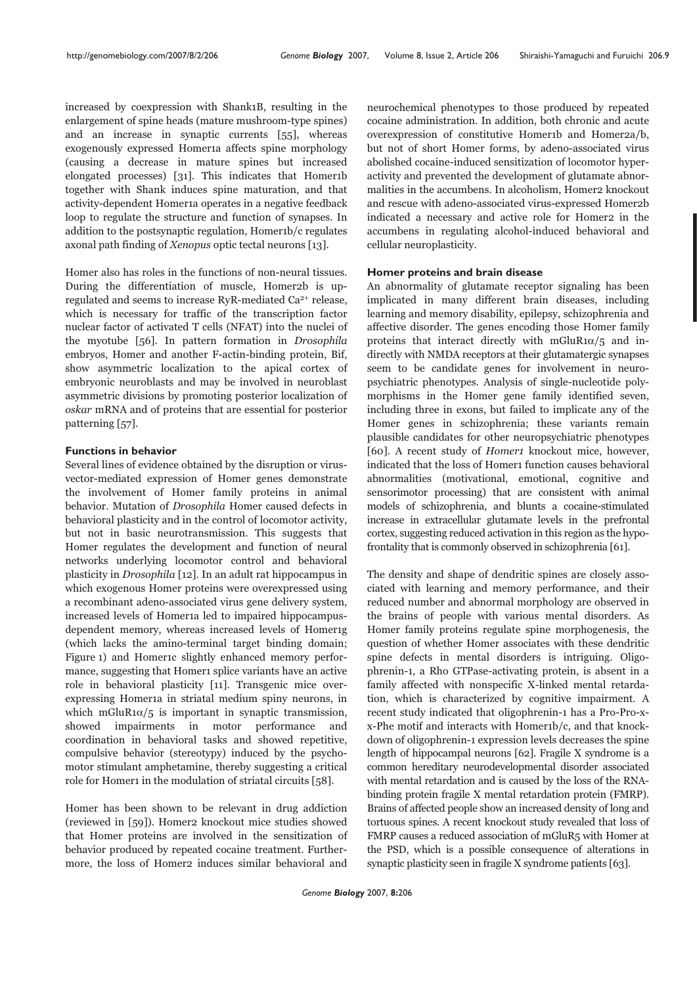increased by coexpression with Shank1B, resulting in the enlargement of spine heads (mature mushroom-type spines) and an increase in synaptic currents [55], whereas exogenously expressed Homer1a affects spine morphology (causing a decrease in mature spines but increased elongated processes) [31]. This indicates that Homer1b together with Shank induces spine maturation, and that activity-dependent Homer1a operates in a negative feedback loop to regulate the structure and function of synapses. In addition to the postsynaptic regulation, Homer1b/c regulates axonal path finding of Xenopus optic tectal neurons [13].

Homer also has roles in the functions of non-neural tissues. During the differentiation of muscle, Homer2b is upregulated and seems to increase RyR-mediated Ca2+ release, which is necessary for traffic of the transcription factor nuclear factor of activated T cells (NFAT) into the nuclei of the myotube [56]. In pattern formation in Drosophila embryos, Homer and another F-actin-binding protein, Bif, show asymmetric localization to the apical cortex of embryonic neuroblasts and may be involved in neuroblast asymmetric divisions by promoting posterior localization of oskar mRNA and of proteins that are essential for posterior patterning [57].

# **Functions in behavior**

Several lines of evidence obtained by the disruption or virusvector-mediated expression of Homer genes demonstrate the involvement of Homer family proteins in animal behavior. Mutation of Drosophila Homer caused defects in behavioral plasticity and in the control of locomotor activity, but not in basic neurotransmission. This suggests that Homer regulates the development and function of neural networks underlying locomotor control and behavioral plasticity in Drosophila [12]. In an adult rat hippocampus in which exogenous Homer proteins were overexpressed using a recombinant adeno-associated virus gene delivery system, increased levels of Homer<sub>1</sub> led to impaired hippocampusdependent memory, whereas increased levels of Homer1g (which lacks the amino-terminal target binding domain; Figure 1) and Homer1c slightly enhanced memory performance, suggesting that Homer1 splice variants have an active role in behavioral plasticity [11]. Transgenic mice overexpressing Homer1a in striatal medium spiny neurons, in which mGluR1 $\alpha/5$  is important in synaptic transmission, showed impairments in motor performance and coordination in behavioral tasks and showed repetitive, compulsive behavior (stereotypy) induced by the psychomotor stimulant amphetamine, thereby suggesting a critical role for Homer1 in the modulation of striatal circuits [58].

Homer has been shown to be relevant in drug addiction (reviewed in [59]). Homer2 knockout mice studies showed that Homer proteins are involved in the sensitization of behavior produced by repeated cocaine treatment. Furthermore, the loss of Homer2 induces similar behavioral and neurochemical phenotypes to those produced by repeated cocaine administration. In addition, both chronic and acute overexpression of constitutive Homer1b and Homer2a/b, but not of short Homer forms, by adeno-associated virus abolished cocaine-induced sensitization of locomotor hyperactivity and prevented the development of glutamate abnormalities in the accumbens. In alcoholism, Homer2 knockout and rescue with adeno-associated virus-expressed Homer2b indicated a necessary and active role for Homer2 in the accumbens in regulating alcohol-induced behavioral and cellular neuroplasticity.

## **Homer proteins and brain disease**

An abnormality of glutamate receptor signaling has been implicated in many different brain diseases, including learning and memory disability, epilepsy, schizophrenia and affective disorder. The genes encoding those Homer family proteins that interact directly with mGluR1 $\alpha/5$  and indirectly with NMDA receptors at their glutamatergic synapses seem to be candidate genes for involvement in neuropsychiatric phenotypes. Analysis of single-nucleotide polymorphisms in the Homer gene family identified seven, including three in exons, but failed to implicate any of the Homer genes in schizophrenia; these variants remain plausible candidates for other neuropsychiatric phenotypes [60]. A recent study of *Homer1* knockout mice, however, indicated that the loss of Homer1 function causes behavioral abnormalities (motivational, emotional, cognitive and sensorimotor processing) that are consistent with animal models of schizophrenia, and blunts a cocaine-stimulated increase in extracellular glutamate levels in the prefrontal cortex, suggesting reduced activation in this region as the hypofrontality that is commonly observed in schizophrenia [61].

The density and shape of dendritic spines are closely associated with learning and memory performance, and their reduced number and abnormal morphology are observed in the brains of people with various mental disorders. As Homer family proteins regulate spine morphogenesis, the question of whether Homer associates with these dendritic spine defects in mental disorders is intriguing. Oligophrenin-1, a Rho GTPase-activating protein, is absent in a family affected with nonspecific X-linked mental retardation, which is characterized by cognitive impairment. A recent study indicated that oligophrenin-1 has a Pro-Pro-xx-Phe motif and interacts with Homer1b/c, and that knockdown of oligophrenin-1 expression levels decreases the spine length of hippocampal neurons [62]. Fragile X syndrome is a common hereditary neurodevelopmental disorder associated with mental retardation and is caused by the loss of the RNAbinding protein fragile X mental retardation protein (FMRP). Brains of affected people show an increased density of long and tortuous spines. A recent knockout study revealed that loss of FMRP causes a reduced association of mGluR5 with Homer at the PSD, which is a possible consequence of alterations in synaptic plasticity seen in fragile X syndrome patients [63].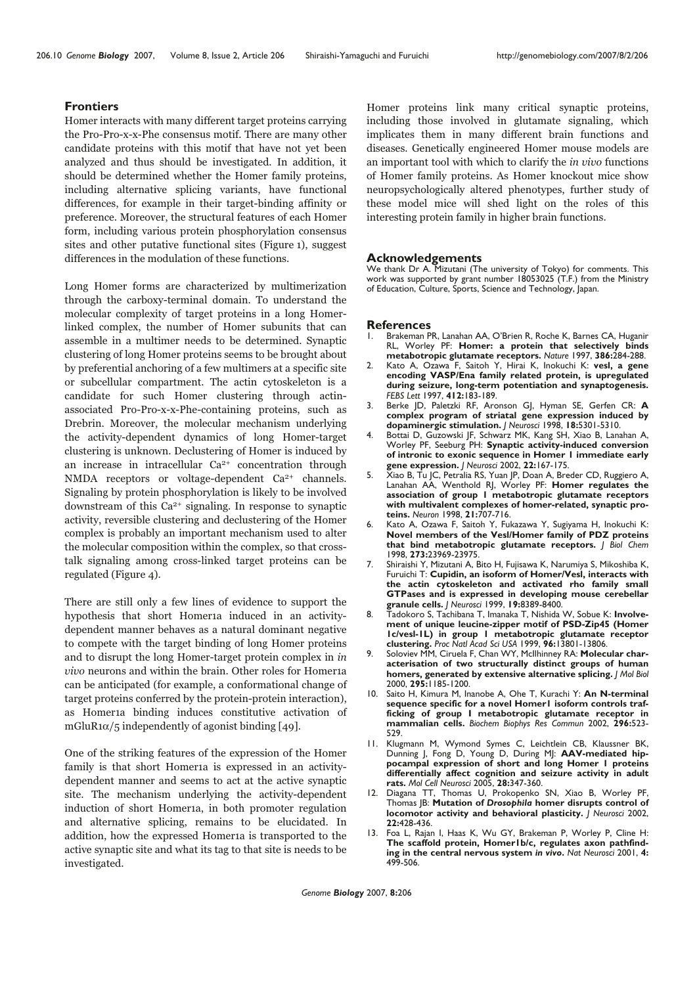# **Frontiers**

Homer interacts with many different target proteins carrying the Pro-Pro-x-x-Phe consensus motif. There are many other candidate proteins with this motif that have not yet been analyzed and thus should be investigated. In addition, it should be determined whether the Homer family proteins, including alternative splicing variants, have functional differences, for example in their target-binding affinity or preference. Moreover, the structural features of each Homer form, including various protein phosphorylation consensus sites and other putative functional sites (Figure 1), suggest differences in the modulation of these functions.

Long Homer forms are characterized by multimerization through the carboxy-terminal domain. To understand the molecular complexity of target proteins in a long Homerlinked complex, the number of Homer subunits that can assemble in a multimer needs to be determined. Synaptic clustering of long Homer proteins seems to be brought about by preferential anchoring of a few multimers at a specific site or subcellular compartment. The actin cytoskeleton is a candidate for such Homer clustering through actinassociated Pro-Pro-x-x-Phe-containing proteins, such as Drebrin. Moreover, the molecular mechanism underlying the activity-dependent dynamics of long Homer-target clustering is unknown. Declustering of Homer is induced by an increase in intracellular  $Ca^{2+}$  concentration through NMDA receptors or voltage-dependent Ca<sup>2+</sup> channels. Signaling by protein phosphorylation is likely to be involved downstream of this  $Ca<sup>2+</sup>$  signaling. In response to synaptic activity, reversible clustering and declustering of the Homer complex is probably an important mechanism used to alter the molecular composition within the complex, so that crosstalk signaling among cross-linked target proteins can be regulated (Figure 4).

There are still only a few lines of evidence to support the hypothesis that short Homer1a induced in an activitydependent manner behaves as a natural dominant negative to compete with the target binding of long Homer proteins and to disrupt the long Homer-target protein complex in in vivo neurons and within the brain. Other roles for Homer1a can be anticipated (for example, a conformational change of target proteins conferred by the protein-protein interaction), as Homer1a binding induces constitutive activation of  $mGluR1\alpha/5$  independently of agonist binding [49].

One of the striking features of the expression of the Homer family is that short Homer1a is expressed in an activitydependent manner and seems to act at the active synaptic site. The mechanism underlying the activity-dependent induction of short Homer1a, in both promoter regulation and alternative splicing, remains to be elucidated. In addition, how the expressed Homer1a is transported to the active synaptic site and what its tag to that site is needs to be investigated.

Homer proteins link many critical synaptic proteins, including those involved in glutamate signaling, which implicates them in many different brain functions and diseases. Genetically engineered Homer mouse models are an important tool with which to clarify the in vivo functions of Homer family proteins. As Homer knockout mice show neuropsychologically altered phenotypes, further study of these model mice will shed light on the roles of this interesting protein family in higher brain functions.

#### **Acknowledgements**

We thank Dr A. Mizutani (The university of Tokyo) for comments. This work was supported by grant number 18053025 (T.F.) from the Ministry of Education, Culture, Sports, Science and Technology, Japan.

# **References**<br>L. Brakeman P

- 1. Brakeman PR, Lanahan AA, O'Brien R, Roche K, Barnes CA, Huganir RL, Worley PF: **Homer: a protein that selectively binds metabotropic glutamate receptors.** *Nature* 1997, **386:**284-288.
- 2. Kato A, Ozawa F, Saitoh Y, Hirai K, Inokuchi K: **vesl, a gene encoding VASP/Ena family related protein, is upregulated during seizure, long-term potentiation and synaptogenesis.** *FEBS Lett* 1997, **412:**183-189.
- 3. Berke JD, Paletzki RF, Aronson GJ, Hyman SE, Gerfen CR: **A complex program of striatal gene expression induced by dopaminergic stimulation.** *J Neurosci* 1998, **18:**5301-5310.
- 4. Bottai D, Guzowski JF, Schwarz MK, Kang SH, Xiao B, Lanahan A, Worley PF, Seeburg PH: **Synaptic activity-induced conversion of intronic to exonic sequence in Homer 1 immediate early gene expression.** *J Neurosci* 2002, **22:**167-175.
- 5. Xiao B, Tu JC, Petralia RS, Yuan JP, Doan A, Breder CD, Ruggiero A, Lanahan AA, Wenthold RJ, Worley PF: **Homer regulates the association of group 1 metabotropic glutamate receptors with multivalent complexes of homer-related, synaptic proteins.** *Neuron* 1998, **21:**707-716.
- 6. Kato A, Ozawa F, Saitoh Y, Fukazawa Y, Sugiyama H, Inokuchi K: **Novel members of the Vesl/Homer family of PDZ proteins that bind metabotropic glutamate receptors.** *J Biol Chem* 1998, **273:**23969-23975.
- 7. Shiraishi Y, Mizutani A, Bito H, Fujisawa K, Narumiya S, Mikoshiba K, Furuichi T: **Cupidin, an isoform of Homer/Vesl, interacts with the actin cytoskeleton and activated rho family small GTPases and is expressed in developing mouse cerebellar granule cells.** *J Neurosci* 1999, **19:**8389-8400.
- 8. Tadokoro S, Tachibana T, Imanaka T, Nishida W, Sobue K: **Involvement of unique leucine-zipper motif of PSD-Zip45 (Homer 1c/vesl-1L) in group 1 metabotropic glutamate receptor clustering.** *Proc Natl Acad Sci USA* 1999, **96:**13801-13806.
- 9. Soloviev MM, Ciruela F, Chan WY, McIlhinney RA: **Molecular characterisation of two structurally distinct groups of human homers, generated by extensive alternative splicing.** *J Mol Biol* 2000, **295:**1185-1200.
- 10. Saito H, Kimura M, Inanobe A, Ohe T, Kurachi Y: **An N-terminal sequence specific for a novel Homer1 isoform controls trafficking of group I metabotropic glutamate receptor in mammalian cells.** *Biochem Biophys Res Commun* 2002, **296:**523- 529.
- 11. Klugmann M, Wymond Symes C, Leichtlein CB, Klaussner BK, Dunning J, Fong D, Young D, During MJ: **AAV-mediated hippocampal expression of short and long Homer 1 proteins differentially affect cognition and seizure activity in adult rats.** *Mol Cell Neurosci* 2005, **28:**347-360.
- 12. Diagana TT, Thomas U, Prokopenko SN, Xiao B, Worley PF, Thomas JB: **Mutation of** *Drosophila* **homer disrupts control of locomotor activity and behavioral plasticity.** *J Neurosci* 2002, **22:**428-436.
- 13. Foa L, Rajan I, Haas K, Wu GY, Brakeman P, Worley P, Cline H: **The scaffold protein, Homer1b/c, regulates axon pathfinding in the central nervous system** *in vivo***.** *Nat Neurosci* 2001, **4:** 499-506.

*Genome Biology* 2007, **8:**206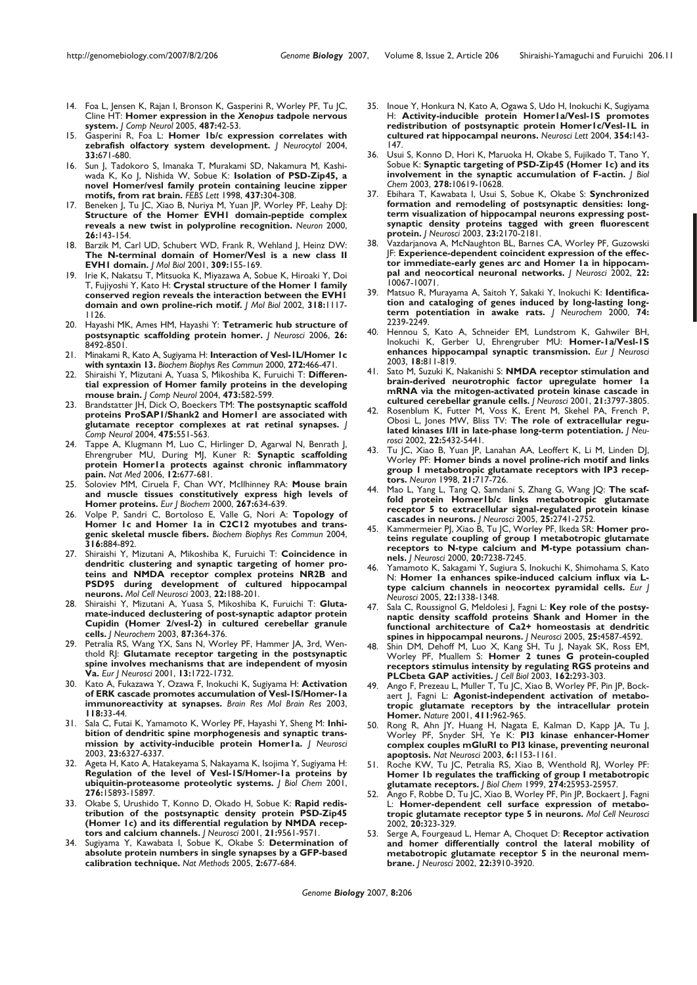- 14. Foa L, Jensen K, Rajan I, Bronson K, Gasperini R, Worley PF, Tu JC, Cline HT: **Homer expression in the** *Xenopus* **tadpole nervous system.** *J Comp Neurol* 2005, **487:**42-53.
- 15. Gasperini R, Foa L: **Homer 1b/c expression correlates with zebrafish olfactory system development.** *J Neurocytol* 2004, **33:**671-680.
- 16. Sun J, Tadokoro S, Imanaka T, Murakami SD, Nakamura M, Kashiwada K, Ko J, Nishida W, Sobue K: **Isolation of PSD-Zip45, a novel Homer/vesl family protein containing leucine zipper motifs, from rat brain.** *FEBS Lett* 1998, **437:**304-308.
- 17. Beneken J, Tu JC, Xiao B, Nuriya M, Yuan JP, Worley PF, Leahy DJ: **Structure of the Homer EVH1 domain-peptide complex reveals a new twist in polyproline recognition.** *Neuron* 2000, **26:**143-154.
- 18. Barzik M, Carl UD, Schubert WD, Frank R, Wehland J, Heinz DW: **The N-terminal domain of Homer/Vesl is a new class II EVH1 domain.** *J Mol Biol* 2001, **309:**155-169.
- 19. Irie K, Nakatsu T, Mitsuoka K, Miyazawa A, Sobue K, Hiroaki Y, Doi T, Fujiyoshi Y, Kato H: **Crystal structure of the Homer 1 family conserved region reveals the interaction between the EVH1 domain and own proline-rich motif.** *J Mol Biol* 2002, **318:**1117- 1126.
- 20. Hayashi MK, Ames HM, Hayashi Y: **Tetrameric hub structure of postsynaptic scaffolding protein homer.** *J Neurosci* 2006, **26:** 8492-8501.
- 21. Minakami R, Kato A, Sugiyama H: **Interaction of Vesl-1L/Homer 1c with syntaxin 13.** *Biochem Biophys Res Commun* 2000, **272:**466-471.
- 22. Shiraishi Y, Mizutani A, Yuasa S, Mikoshiba K, Furuichi T: **Differential expression of Homer family proteins in the developing mouse brain.** *J Comp Neurol* 2004, **473:**582-599.
- 23. Brandstatter JH, Dick O, Boeckers TM: **The postsynaptic scaffold proteins ProSAP1/Shank2 and Homer1 are associated with glutamate receptor complexes at rat retinal synapses.** *J Comp Neurol* 2004, **475:**551-563.
- 24. Tappe A, Klugmann M, Luo C, Hirlinger D, Agarwal N, Benrath J, Ehrengruber MU, During MJ, Kuner R: **Synaptic scaffolding protein Homer1a protects against chronic inflammatory pain.** *Nat Med* 2006, **12:**677-681.
- 25. Soloviev MM, Ciruela F, Chan WY, McIlhinney RA: **Mouse brain and muscle tissues constitutively express high levels of Homer proteins.** *Eur J Biochem* 2000, **267:**634-639.
- 26. Volpe P, Sandri C, Bortoloso E, Valle G, Nori A: **Topology of Homer 1c and Homer 1a in C2C12 myotubes and transgenic skeletal muscle fibers.** *Biochem Biophys Res Commun* 2004, **316:**884-892.
- 27. Shiraishi Y, Mizutani A, Mikoshiba K, Furuichi T: **Coincidence in dendritic clustering and synaptic targeting of homer proteins and NMDA receptor complex proteins NR2B and PSD95 during development of cultured hippocampal neurons.** *Mol Cell Neurosci* 2003, **22:**188-201.
- 28. Shiraishi Y, Mizutani A, Yuasa S, Mikoshiba K, Furuichi T: **Glutamate-induced declustering of post-synaptic adaptor protein Cupidin (Homer 2/vesl-2) in cultured cerebellar granule cells.** *J Neurochem* 2003, **87:**364-376.
- 29. Petralia RS, Wang YX, Sans N, Worley PF, Hammer JA, 3rd, Wenthold RJ: **Glutamate receptor targeting in the postsynaptic spine involves mechanisms that are independent of myosin Va.** *Eur J Neurosci* 2001, **13:**1722-1732.
- 30. Kato A, Fukazawa Y, Ozawa F, Inokuchi K, Sugiyama H: **Activation of ERK cascade promotes accumulation of Vesl-1S/Homer-1a immunoreactivity at synapses.** *Brain Res Mol Brain Res* 2003, **118:**33-44.
- 31. Sala C, Futai K, Yamamoto K, Worley PF, Hayashi Y, Sheng M: **Inhibition of dendritic spine morphogenesis and synaptic transmission by activity-inducible protein Homer1a.** *J Neurosci* 2003, **23:**6327-6337.
- 32. Ageta H, Kato A, Hatakeyama S, Nakayama K, Isojima Y, Sugiyama H: **Regulation of the level of Vesl-1S/Homer-1a proteins by ubiquitin-proteasome proteolytic systems.** *J Biol Chem* 2001, **276:**15893-15897.
- 33. Okabe S, Urushido T, Konno D, Okado H, Sobue K: **Rapid redistribution of the postsynaptic density protein PSD-Zip45 (Homer 1c) and its differential regulation by NMDA receptors and calcium channels.** *J Neurosci* 2001, **21:**9561-9571.
- 34. Sugiyama Y, Kawabata I, Sobue K, Okabe S: **Determination of absolute protein numbers in single synapses by a GFP-based calibration technique.** *Nat Methods* 2005, **2:**677-684.
- 35. Inoue Y, Honkura N, Kato A, Ogawa S, Udo H, Inokuchi K, Sugiyama H: **Activity-inducible protein Homer1a/Vesl-1S promotes redistribution of postsynaptic protein Homer1c/Vesl-1L in cultured rat hippocampal neurons.** *Neurosci Lett* 2004, **354:**143- 147.
- 36. Usui S, Konno D, Hori K, Maruoka H, Okabe S, Fujikado T, Tano Y, Sobue K: **Synaptic targeting of PSD-Zip45 (Homer 1c) and its involvement in the synaptic accumulation of F-actin.** *J Biol Chem* 2003, **278:**10619-10628.
- 37. Ebihara T, Kawabata I, Usui S, Sobue K, Okabe S: **Synchronized formation and remodeling of postsynaptic densities: longterm visualization of hippocampal neurons expressing postsynaptic density proteins tagged with green fluorescent protein.** *J Neurosci* 2003, **23:**2170-2181.
- 38. Vazdarjanova A, McNaughton BL, Barnes CA, Worley PF, Guzowski JF: **Experience-dependent coincident expression of the effector immediate-early genes arc and Homer 1a in hippocampal and neocortical neuronal networks.** *J Neurosci* 2002, **22:** 10067-10071.
- 39. Matsuo R, Murayama A, Saitoh Y, Sakaki Y, Inokuchi K: **Identification and cataloging of genes induced by long-lasting longterm potentiation in awake rats.** *J Neurochem* 2000, **74:** 2239-2249.
- 40. Hennou S, Kato A, Schneider EM, Lundstrom K, Gahwiler BH, Inokuchi K, Gerber U, Ehrengruber MU: **Homer-1a/Vesl-1S enhances hippocampal synaptic transmission.** *Eur J Neurosci* 2003, **18:**811-819.
- 41. Sato M, Suzuki K, Nakanishi S: **NMDA receptor stimulation and brain-derived neurotrophic factor upregulate homer 1a mRNA via the mitogen-activated protein kinase cascade in cultured cerebellar granule cells.** *J Neurosci* 2001, **21:**3797-3805.
- 42. Rosenblum K, Futter M, Voss K, Erent M, Skehel PA, French P, Obosi L, Jones MW, Bliss TV: **The role of extracellular regulated kinases I/II in late-phase long-term potentiation.** *J Neurosci* 2002, **22:**5432-5441.
- 43. Tu JC, Xiao B, Yuan JP, Lanahan AA, Leoffert K, Li M, Linden DJ, Worley PF: **Homer binds a novel proline-rich motif and links group 1 metabotropic glutamate receptors with IP3 receptors.** *Neuron* 1998, **21:**717-726.
- Mao L, Yang L, Tang Q, Samdani S, Zhang G, Wang JQ: The scaf**fold protein Homer1b/c links metabotropic glutamate receptor 5 to extracellular signal-regulated protein kinase cascades in neurons.** *J Neurosci* 2005, **25:**2741-2752.
- 45. Kammermeier PJ, Xiao B, Tu JC, Worley PF, Ikeda SR: **Homer proteins regulate coupling of group I metabotropic glutamate receptors to N-type calcium and M-type potassium channels.** *J Neurosci* 2000, **20:**7238-7245.
- 46. Yamamoto K, Sakagami Y, Sugiura S, Inokuchi K, Shimohama S, Kato N: **Homer 1a enhances spike-induced calcium influx via Ltype calcium channels in neocortex pyramidal cells.** *Eur J Neurosci* 2005, **22:**1338-1348.
- Sala C, Roussignol G, Meldolesi J, Fagni L: Key role of the postsy**naptic density scaffold proteins Shank and Homer in the functional architecture of Ca2+ homeostasis at dendritic spines in hippocampal neurons.** *J Neurosci* 2005, **25:**4587-4592.
- 48. Shin DM, Dehoff M, Luo X, Kang SH, Tu J, Nayak SK, Ross EM, Worley PF, Muallem S: **Homer 2 tunes G protein-coupled receptors stimulus intensity by regulating RGS proteins and PLCbeta GAP activities.** *J Cell Biol* 2003, **162:**293-303.
- Ango F, Prezeau L, Muller T, Tu JC, Xiao B, Worley PF, Pin JP, Bockaert J, Fagni L: **Agonist-independent activation of metabotropic glutamate receptors by the intracellular protein Homer.** *Nature* 2001, **411:**962-965.
- 50. Rong R, Ahn JY, Huang H, Nagata E, Kalman D, Kapp JA, Tu J, Worley PF, Snyder SH, Ye K: **PI3 kinase enhancer-Homer complex couples mGluRI to PI3 kinase, preventing neuronal apoptosis.** *Nat Neurosci* 2003, **6:**1153-1161.
- 51. Roche KW, Tu JC, Petralia RS, Xiao B, Wenthold RJ, Worley PF: **Homer 1b regulates the trafficking of group I metabotropic glutamate receptors.** *J Biol Chem* 1999, **274:**25953-25957.
- 52. Ango F, Robbe D, Tu JC, Xiao B, Worley PF, Pin JP, Bockaert J, Fagni L: **Homer-dependent cell surface expression of metabotropic glutamate receptor type 5 in neurons.** *Mol Cell Neurosci* 2002, **20:**323-329.
- 53. Serge A, Fourgeaud L, Hemar A, Choquet D: **Receptor activation and homer differentially control the lateral mobility of** metabotropic glutamate receptor 5 in the neuronal mem**brane.** *J Neurosci* 2002, **22:**3910-3920.

*Genome Biology* 2007, **8:**206